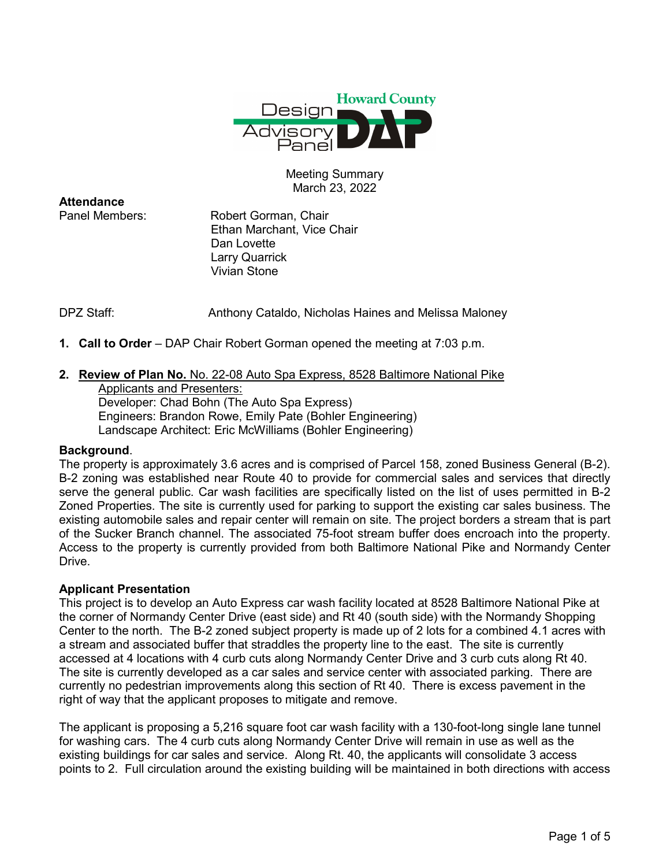

Meeting Summary March 23, 2022

**Attendance**<br>Panel Members:

Robert Gorman, Chair Ethan Marchant, Vice Chair Dan Lovette Larry Quarrick Vivian Stone

DPZ Staff: Anthony Cataldo, Nicholas Haines and Melissa Maloney

**1. Call to Order** – DAP Chair Robert Gorman opened the meeting at 7:03 p.m.

# **2. Review of Plan No.** No. 22-08 Auto Spa Express, 8528 Baltimore National Pike

Applicants and Presenters: Developer: Chad Bohn (The Auto Spa Express) Engineers: Brandon Rowe, Emily Pate (Bohler Engineering) Landscape Architect: Eric McWilliams (Bohler Engineering)

### **Background**.

The property is approximately 3.6 acres and is comprised of Parcel 158, zoned Business General (B-2). B-2 zoning was established near Route 40 to provide for commercial sales and services that directly serve the general public. Car wash facilities are specifically listed on the list of uses permitted in B-2 Zoned Properties. The site is currently used for parking to support the existing car sales business. The existing automobile sales and repair center will remain on site. The project borders a stream that is part of the Sucker Branch channel. The associated 75-foot stream buffer does encroach into the property. Access to the property is currently provided from both Baltimore National Pike and Normandy Center Drive.

### **Applicant Presentation**

This project is to develop an Auto Express car wash facility located at 8528 Baltimore National Pike at the corner of Normandy Center Drive (east side) and Rt 40 (south side) with the Normandy Shopping Center to the north. The B-2 zoned subject property is made up of 2 lots for a combined 4.1 acres with a stream and associated buffer that straddles the property line to the east. The site is currently accessed at 4 locations with 4 curb cuts along Normandy Center Drive and 3 curb cuts along Rt 40. The site is currently developed as a car sales and service center with associated parking. There are currently no pedestrian improvements along this section of Rt 40. There is excess pavement in the right of way that the applicant proposes to mitigate and remove.

The applicant is proposing a 5,216 square foot car wash facility with a 130-foot-long single lane tunnel for washing cars. The 4 curb cuts along Normandy Center Drive will remain in use as well as the existing buildings for car sales and service. Along Rt. 40, the applicants will consolidate 3 access points to 2. Full circulation around the existing building will be maintained in both directions with access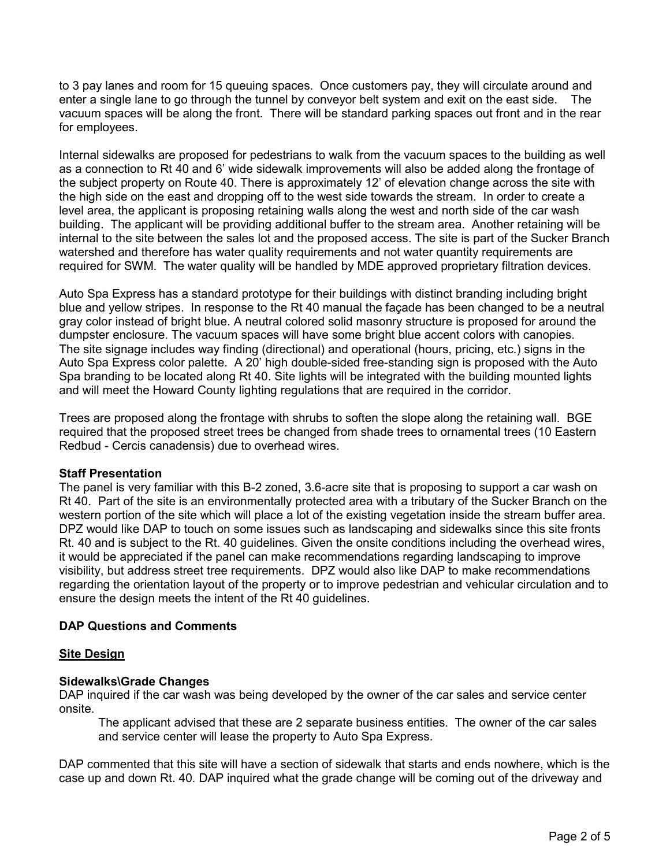to 3 pay lanes and room for 15 queuing spaces. Once customers pay, they will circulate around and enter a single lane to go through the tunnel by conveyor belt system and exit on the east side. The vacuum spaces will be along the front. There will be standard parking spaces out front and in the rear for employees.

Internal sidewalks are proposed for pedestrians to walk from the vacuum spaces to the building as well as a connection to Rt 40 and 6' wide sidewalk improvements will also be added along the frontage of the subject property on Route 40. There is approximately 12' of elevation change across the site with the high side on the east and dropping off to the west side towards the stream. In order to create a level area, the applicant is proposing retaining walls along the west and north side of the car wash building. The applicant will be providing additional buffer to the stream area. Another retaining will be internal to the site between the sales lot and the proposed access. The site is part of the Sucker Branch watershed and therefore has water quality requirements and not water quantity requirements are required for SWM. The water quality will be handled by MDE approved proprietary filtration devices.

Auto Spa Express has a standard prototype for their buildings with distinct branding including bright blue and yellow stripes. In response to the Rt 40 manual the façade has been changed to be a neutral gray color instead of bright blue. A neutral colored solid masonry structure is proposed for around the dumpster enclosure. The vacuum spaces will have some bright blue accent colors with canopies. The site signage includes way finding (directional) and operational (hours, pricing, etc.) signs in the Auto Spa Express color palette. A 20' high double-sided free-standing sign is proposed with the Auto Spa branding to be located along Rt 40. Site lights will be integrated with the building mounted lights and will meet the Howard County lighting regulations that are required in the corridor.

Trees are proposed along the frontage with shrubs to soften the slope along the retaining wall. BGE required that the proposed street trees be changed from shade trees to ornamental trees (10 Eastern Redbud - Cercis canadensis) due to overhead wires.

### **Staff Presentation**

The panel is very familiar with this B-2 zoned, 3.6-acre site that is proposing to support a car wash on Rt 40. Part of the site is an environmentally protected area with a tributary of the Sucker Branch on the western portion of the site which will place a lot of the existing vegetation inside the stream buffer area. DPZ would like DAP to touch on some issues such as landscaping and sidewalks since this site fronts Rt. 40 and is subject to the Rt. 40 guidelines. Given the onsite conditions including the overhead wires, it would be appreciated if the panel can make recommendations regarding landscaping to improve visibility, but address street tree requirements. DPZ would also like DAP to make recommendations regarding the orientation layout of the property or to improve pedestrian and vehicular circulation and to ensure the design meets the intent of the Rt 40 guidelines.

# **DAP Questions and Comments**

### **Site Design**

# **Sidewalks\Grade Changes**

DAP inquired if the car wash was being developed by the owner of the car sales and service center onsite.

The applicant advised that these are 2 separate business entities. The owner of the car sales and service center will lease the property to Auto Spa Express.

DAP commented that this site will have a section of sidewalk that starts and ends nowhere, which is the case up and down Rt. 40. DAP inquired what the grade change will be coming out of the driveway and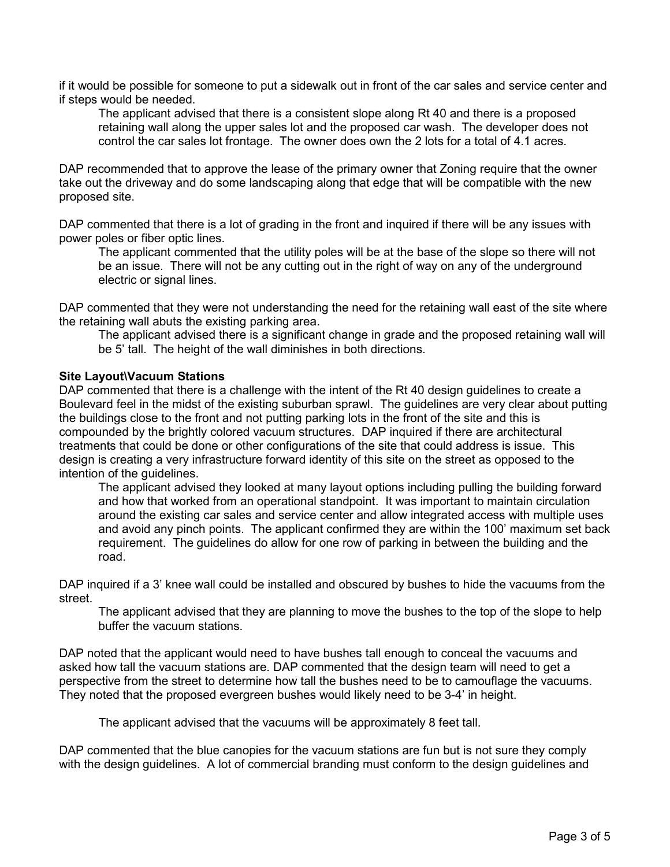if it would be possible for someone to put a sidewalk out in front of the car sales and service center and if steps would be needed.

The applicant advised that there is a consistent slope along Rt 40 and there is a proposed retaining wall along the upper sales lot and the proposed car wash. The developer does not control the car sales lot frontage. The owner does own the 2 lots for a total of 4.1 acres.

DAP recommended that to approve the lease of the primary owner that Zoning require that the owner take out the driveway and do some landscaping along that edge that will be compatible with the new proposed site.

DAP commented that there is a lot of grading in the front and inquired if there will be any issues with power poles or fiber optic lines.

The applicant commented that the utility poles will be at the base of the slope so there will not be an issue. There will not be any cutting out in the right of way on any of the underground electric or signal lines.

DAP commented that they were not understanding the need for the retaining wall east of the site where the retaining wall abuts the existing parking area.

The applicant advised there is a significant change in grade and the proposed retaining wall will be 5' tall. The height of the wall diminishes in both directions.

## **Site Layout\Vacuum Stations**

DAP commented that there is a challenge with the intent of the Rt 40 design guidelines to create a Boulevard feel in the midst of the existing suburban sprawl. The guidelines are very clear about putting the buildings close to the front and not putting parking lots in the front of the site and this is compounded by the brightly colored vacuum structures. DAP inquired if there are architectural treatments that could be done or other configurations of the site that could address is issue. This design is creating a very infrastructure forward identity of this site on the street as opposed to the intention of the guidelines.

The applicant advised they looked at many layout options including pulling the building forward and how that worked from an operational standpoint. It was important to maintain circulation around the existing car sales and service center and allow integrated access with multiple uses and avoid any pinch points. The applicant confirmed they are within the 100' maximum set back requirement. The guidelines do allow for one row of parking in between the building and the road.

DAP inquired if a 3' knee wall could be installed and obscured by bushes to hide the vacuums from the street.

The applicant advised that they are planning to move the bushes to the top of the slope to help buffer the vacuum stations.

DAP noted that the applicant would need to have bushes tall enough to conceal the vacuums and asked how tall the vacuum stations are. DAP commented that the design team will need to get a perspective from the street to determine how tall the bushes need to be to camouflage the vacuums. They noted that the proposed evergreen bushes would likely need to be 3-4' in height.

The applicant advised that the vacuums will be approximately 8 feet tall.

DAP commented that the blue canopies for the vacuum stations are fun but is not sure they comply with the design guidelines. A lot of commercial branding must conform to the design guidelines and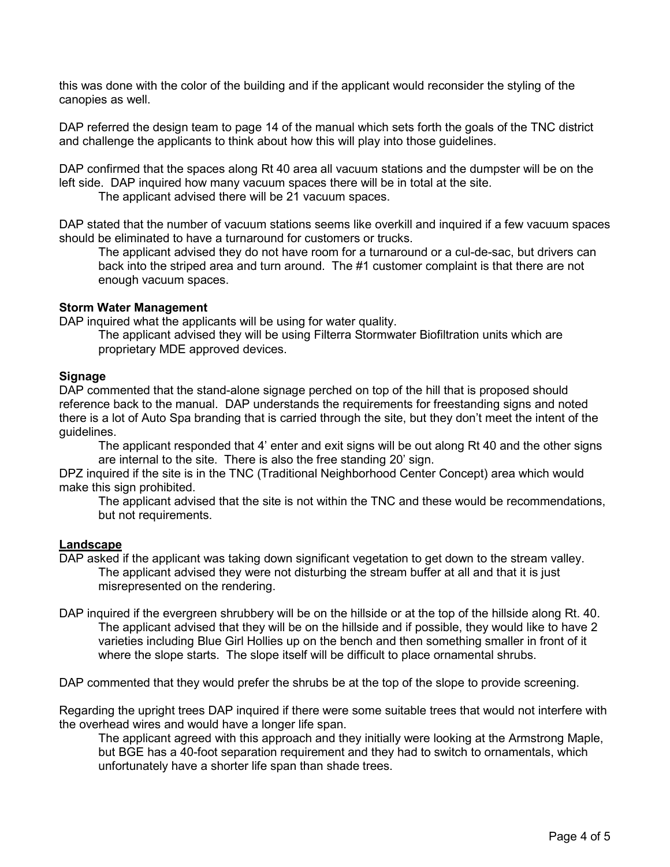this was done with the color of the building and if the applicant would reconsider the styling of the canopies as well.

DAP referred the design team to page 14 of the manual which sets forth the goals of the TNC district and challenge the applicants to think about how this will play into those guidelines.

DAP confirmed that the spaces along Rt 40 area all vacuum stations and the dumpster will be on the left side. DAP inquired how many vacuum spaces there will be in total at the site.

The applicant advised there will be 21 vacuum spaces.

DAP stated that the number of vacuum stations seems like overkill and inquired if a few vacuum spaces should be eliminated to have a turnaround for customers or trucks.

The applicant advised they do not have room for a turnaround or a cul-de-sac, but drivers can back into the striped area and turn around. The #1 customer complaint is that there are not enough vacuum spaces.

## **Storm Water Management**

DAP inquired what the applicants will be using for water quality.

The applicant advised they will be using Filterra Stormwater Biofiltration units which are proprietary MDE approved devices.

## **Signage**

DAP commented that the stand-alone signage perched on top of the hill that is proposed should reference back to the manual. DAP understands the requirements for freestanding signs and noted there is a lot of Auto Spa branding that is carried through the site, but they don't meet the intent of the guidelines.

The applicant responded that 4' enter and exit signs will be out along Rt 40 and the other signs are internal to the site. There is also the free standing 20' sign.

DPZ inquired if the site is in the TNC (Traditional Neighborhood Center Concept) area which would make this sign prohibited.

The applicant advised that the site is not within the TNC and these would be recommendations, but not requirements.

### **Landscape**

- DAP asked if the applicant was taking down significant vegetation to get down to the stream valley. The applicant advised they were not disturbing the stream buffer at all and that it is just misrepresented on the rendering.
- DAP inquired if the evergreen shrubbery will be on the hillside or at the top of the hillside along Rt. 40. The applicant advised that they will be on the hillside and if possible, they would like to have 2 varieties including Blue Girl Hollies up on the bench and then something smaller in front of it where the slope starts. The slope itself will be difficult to place ornamental shrubs.

DAP commented that they would prefer the shrubs be at the top of the slope to provide screening.

Regarding the upright trees DAP inquired if there were some suitable trees that would not interfere with the overhead wires and would have a longer life span.

The applicant agreed with this approach and they initially were looking at the Armstrong Maple, but BGE has a 40-foot separation requirement and they had to switch to ornamentals, which unfortunately have a shorter life span than shade trees.